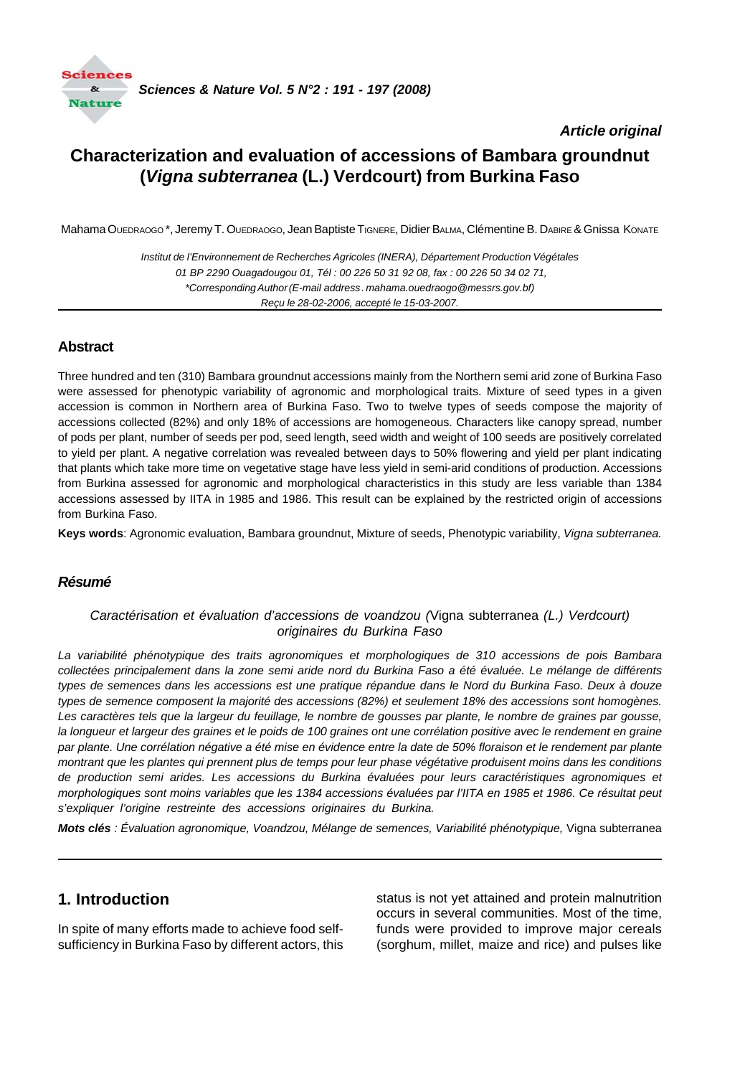

### *Article original*

# **Characterization and evaluation of accessions of Bambara groundnut (***Vigna subterranea* **(L.) Verdcourt) from Burkina Faso**

Mahama OUEDRAOGO \*, Jeremy T. OUEDRAOGO, Jean Baptiste TIGNERE, Didier BALMA, Clémentine B. DABIRE & Gnissa KONATE

*Institut de l'Environnement de Recherches Agricoles (INERA), Département Production Végétales 01 BP 2290 Ouagadougou 01, Tél : 00 226 50 31 92 08, fax : 00 226 50 34 02 71, \*Corresponding Author (E-mail address . mahama.ouedraogo@messrs.gov.bf) Reçu le 28-02-2006, accepté le 15-03-2007.*

### **Abstract**

Three hundred and ten (310) Bambara groundnut accessions mainly from the Northern semi arid zone of Burkina Faso were assessed for phenotypic variability of agronomic and morphological traits. Mixture of seed types in a given accession is common in Northern area of Burkina Faso. Two to twelve types of seeds compose the majority of accessions collected (82%) and only 18% of accessions are homogeneous. Characters like canopy spread, number of pods per plant, number of seeds per pod, seed length, seed width and weight of 100 seeds are positively correlated to yield per plant. A negative correlation was revealed between days to 50% flowering and yield per plant indicating that plants which take more time on vegetative stage have less yield in semi-arid conditions of production. Accessions from Burkina assessed for agronomic and morphological characteristics in this study are less variable than 1384 accessions assessed by IITA in 1985 and 1986. This result can be explained by the restricted origin of accessions from Burkina Faso.

**Keys words**: Agronomic evaluation, Bambara groundnut, Mixture of seeds, Phenotypic variability, *Vigna subterranea.*

#### *Résumé*

#### *Caractérisation et évaluation d'accessions de voandzou (*Vigna subterranea *(L.) Verdcourt) originaires du Burkina Faso*

*La variabilité phénotypique des traits agronomiques et morphologiques de 310 accessions de pois Bambara collectées principalement dans la zone semi aride nord du Burkina Faso a été évaluée. Le mélange de différents types de semences dans les accessions est une pratique répandue dans le Nord du Burkina Faso. Deux à douze types de semence composent la majorité des accessions (82%) et seulement 18% des accessions sont homogènes. Les caractères tels que la largeur du feuillage, le nombre de gousses par plante, le nombre de graines par gousse, la longueur et largeur des graines et le poids de 100 graines ont une corrélation positive avec le rendement en graine par plante. Une corrélation négative a été mise en évidence entre la date de 50% floraison et le rendement par plante montrant que les plantes qui prennent plus de temps pour leur phase végétative produisent moins dans les conditions de production semi arides. Les accessions du Burkina évaluées pour leurs caractéristiques agronomiques et morphologiques sont moins variables que les 1384 accessions évaluées par l'IITA en 1985 et 1986. Ce résultat peut s'expliquer l'origine restreinte des accessions originaires du Burkina.*

*Mots clés : Évaluation agronomique, Voandzou, Mélange de semences, Variabilité phénotypique,* Vigna subterranea

## **1. Introduction**

In spite of many efforts made to achieve food selfsufficiency in Burkina Faso by different actors, this status is not yet attained and protein malnutrition occurs in several communities. Most of the time, funds were provided to improve major cereals (sorghum, millet, maize and rice) and pulses like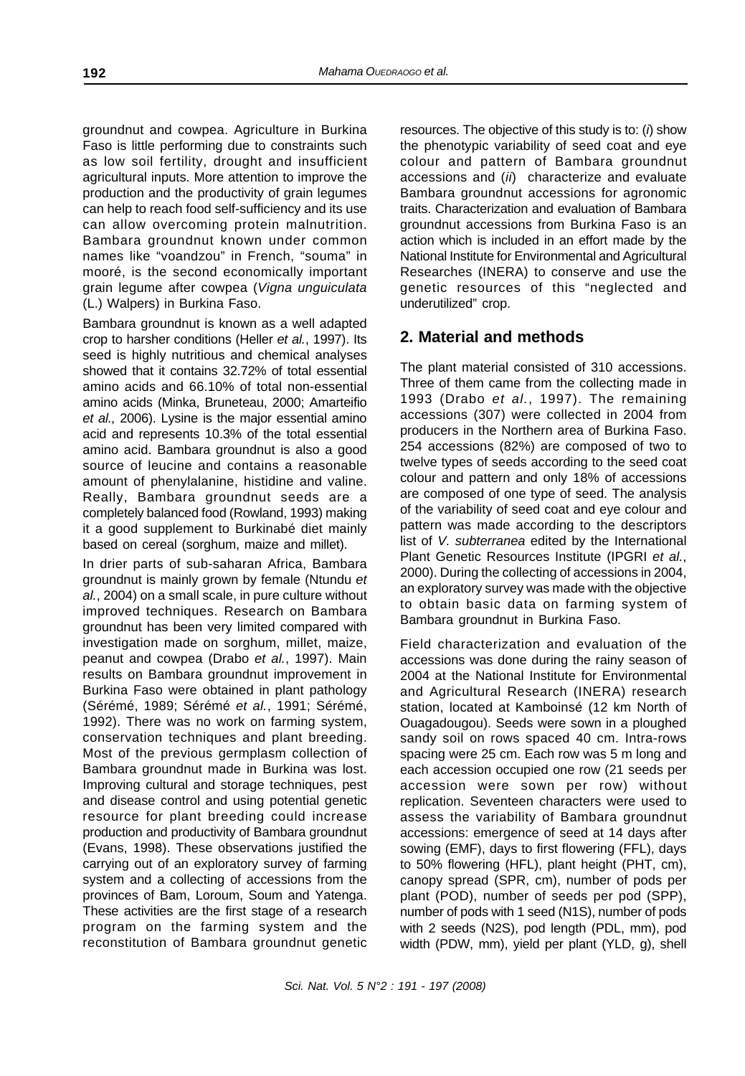groundnut and cowpea. Agriculture in Burkina Faso is little performing due to constraints such as low soil fertility, drought and insufficient agricultural inputs. More attention to improve the production and the productivity of grain legumes can help to reach food self-sufficiency and its use can allow overcoming protein malnutrition. Bambara groundnut known under common names like "voandzou" in French, "souma" in mooré, is the second economically important grain legume after cowpea (*Vigna unguiculata* (L.) Walpers) in Burkina Faso.

Bambara groundnut is known as a well adapted crop to harsher conditions (Heller *et al.*, 1997). Its seed is highly nutritious and chemical analyses showed that it contains 32.72% of total essential amino acids and 66.10% of total non-essential amino acids (Minka, Bruneteau, 2000; Amarteifio *et al.,* 2006). Lysine is the major essential amino acid and represents 10.3% of the total essential amino acid. Bambara groundnut is also a good source of leucine and contains a reasonable amount of phenylalanine, histidine and valine. Really, Bambara groundnut seeds are a completely balanced food (Rowland, 1993) making it a good supplement to Burkinabé diet mainly based on cereal (sorghum, maize and millet).

In drier parts of sub-saharan Africa, Bambara groundnut is mainly grown by female (Ntundu *et al.*, 2004) on a small scale, in pure culture without improved techniques. Research on Bambara groundnut has been very limited compared with investigation made on sorghum, millet, maize, peanut and cowpea (Drabo *et al.*, 1997). Main results on Bambara groundnut improvement in Burkina Faso were obtained in plant pathology (Sérémé, 1989; Sérémé *et al.*, 1991; Sérémé, 1992). There was no work on farming system, conservation techniques and plant breeding. Most of the previous germplasm collection of Bambara groundnut made in Burkina was lost. Improving cultural and storage techniques, pest and disease control and using potential genetic resource for plant breeding could increase production and productivity of Bambara groundnut (Evans, 1998). These observations justified the carrying out of an exploratory survey of farming system and a collecting of accessions from the provinces of Bam, Loroum, Soum and Yatenga. These activities are the first stage of a research program on the farming system and the reconstitution of Bambara groundnut genetic

resources. The objective of this study is to: (*i*) show the phenotypic variability of seed coat and eye colour and pattern of Bambara groundnut accessions and (*ii*) characterize and evaluate Bambara groundnut accessions for agronomic traits. Characterization and evaluation of Bambara groundnut accessions from Burkina Faso is an action which is included in an effort made by the National Institute for Environmental and Agricultural Researches (INERA) to conserve and use the genetic resources of this "neglected and underutilized" crop.

# **2. Material and methods**

The plant material consisted of 310 accessions. Three of them came from the collecting made in 1993 (Drabo *et al.*, 1997). The remaining accessions (307) were collected in 2004 from producers in the Northern area of Burkina Faso. 254 accessions (82%) are composed of two to twelve types of seeds according to the seed coat colour and pattern and only 18% of accessions are composed of one type of seed. The analysis of the variability of seed coat and eye colour and pattern was made according to the descriptors list of *V. subterranea* edited by the International Plant Genetic Resources Institute (IPGRI *et al.*, 2000). During the collecting of accessions in 2004, an exploratory survey was made with the objective to obtain basic data on farming system of Bambara groundnut in Burkina Faso.

Field characterization and evaluation of the accessions was done during the rainy season of 2004 at the National Institute for Environmental and Agricultural Research (INERA) research station, located at Kamboinsé (12 km North of Ouagadougou). Seeds were sown in a ploughed sandy soil on rows spaced 40 cm. Intra-rows spacing were 25 cm. Each row was 5 m long and each accession occupied one row (21 seeds per accession were sown per row) without replication. Seventeen characters were used to assess the variability of Bambara groundnut accessions: emergence of seed at 14 days after sowing (EMF), days to first flowering (FFL), days to 50% flowering (HFL), plant height (PHT, cm), canopy spread (SPR, cm), number of pods per plant (POD), number of seeds per pod (SPP), number of pods with 1 seed (N1S), number of pods with 2 seeds (N2S), pod length (PDL, mm), pod width (PDW, mm), yield per plant (YLD, g), shell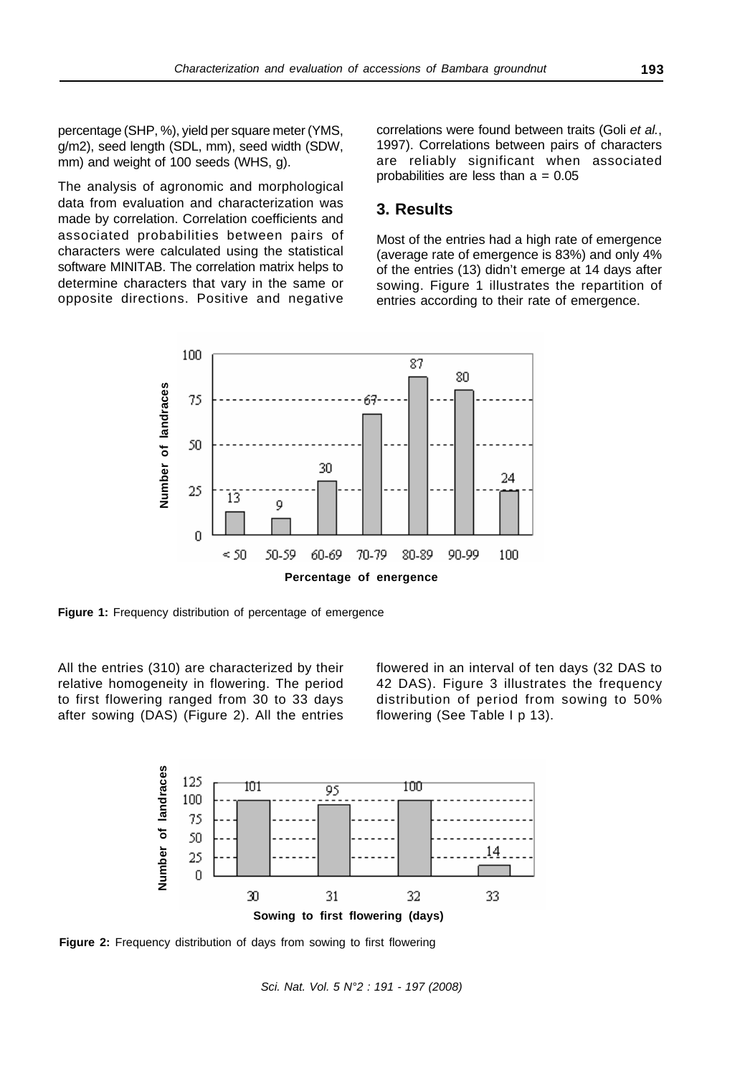percentage (SHP, %), yield per square meter (YMS, g/m2), seed length (SDL, mm), seed width (SDW, mm) and weight of 100 seeds (WHS, g).

The analysis of agronomic and morphological data from evaluation and characterization was made by correlation. Correlation coefficients and associated probabilities between pairs of characters were calculated using the statistical software MINITAB. The correlation matrix helps to determine characters that vary in the same or opposite directions. Positive and negative correlations were found between traits (Goli *et al.*, 1997). Correlations between pairs of characters are reliably significant when associated probabilities are less than  $a = 0.05$ 

### **3. Results**

Most of the entries had a high rate of emergence (average rate of emergence is 83%) and only 4% of the entries (13) didn't emerge at 14 days after sowing. Figure 1 illustrates the repartition of entries according to their rate of emergence.



**Figure 1:** Frequency distribution of percentage of emergence

All the entries (310) are characterized by their relative homogeneity in flowering. The period to first flowering ranged from 30 to 33 days after sowing (DAS) (Figure 2). All the entries flowered in an interval of ten days (32 DAS to 42 DAS). Figure 3 illustrates the frequency distribution of period from sowing to 50% flowering (See Table I p 13).



**Figure 2:** Frequency distribution of days from sowing to first flowering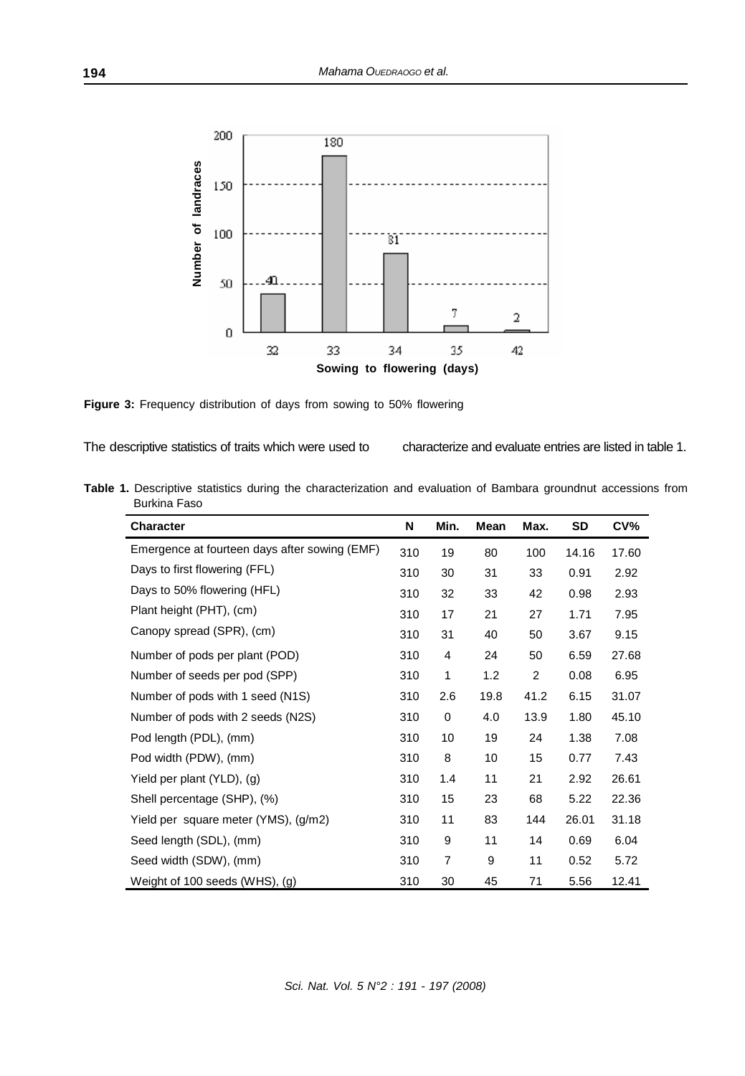

**Figure 3:** Frequency distribution of days from sowing to 50% flowering

The descriptive statistics of traits which were used to

characterize and evaluate entries are listed in table 1.

**Table 1.** Descriptive statistics during the characterization and evaluation of Bambara groundnut accessions from Burkina Faso

| <b>Character</b>                              | N   | Min.           | Mean | Max. | SD    | CV%   |
|-----------------------------------------------|-----|----------------|------|------|-------|-------|
| Emergence at fourteen days after sowing (EMF) | 310 | 19             | 80   | 100  | 14.16 | 17.60 |
| Days to first flowering (FFL)                 | 310 | 30             | 31   | 33   | 0.91  | 2.92  |
| Days to 50% flowering (HFL)                   | 310 | 32             | 33   | 42   | 0.98  | 2.93  |
| Plant height (PHT), (cm)                      | 310 | 17             | 21   | 27   | 1.71  | 7.95  |
| Canopy spread (SPR), (cm)                     | 310 | 31             | 40   | 50   | 3.67  | 9.15  |
| Number of pods per plant (POD)                | 310 | 4              | 24   | 50   | 6.59  | 27.68 |
| Number of seeds per pod (SPP)                 | 310 | 1              | 1.2  | 2    | 0.08  | 6.95  |
| Number of pods with 1 seed (N1S)              | 310 | 2.6            | 19.8 | 41.2 | 6.15  | 31.07 |
| Number of pods with 2 seeds (N2S)             | 310 | 0              | 4.0  | 13.9 | 1.80  | 45.10 |
| Pod length (PDL), (mm)                        | 310 | 10             | 19   | 24   | 1.38  | 7.08  |
| Pod width (PDW), (mm)                         | 310 | 8              | 10   | 15   | 0.77  | 7.43  |
| Yield per plant (YLD), (g)                    | 310 | 1.4            | 11   | 21   | 2.92  | 26.61 |
| Shell percentage (SHP), (%)                   | 310 | 15             | 23   | 68   | 5.22  | 22.36 |
| Yield per square meter (YMS), (g/m2)          | 310 | 11             | 83   | 144  | 26.01 | 31.18 |
| Seed length (SDL), (mm)                       | 310 | 9              | 11   | 14   | 0.69  | 6.04  |
| Seed width (SDW), (mm)                        | 310 | $\overline{7}$ | 9    | 11   | 0.52  | 5.72  |
| Weight of 100 seeds (WHS), (g)                | 310 | 30             | 45   | 71   | 5.56  | 12.41 |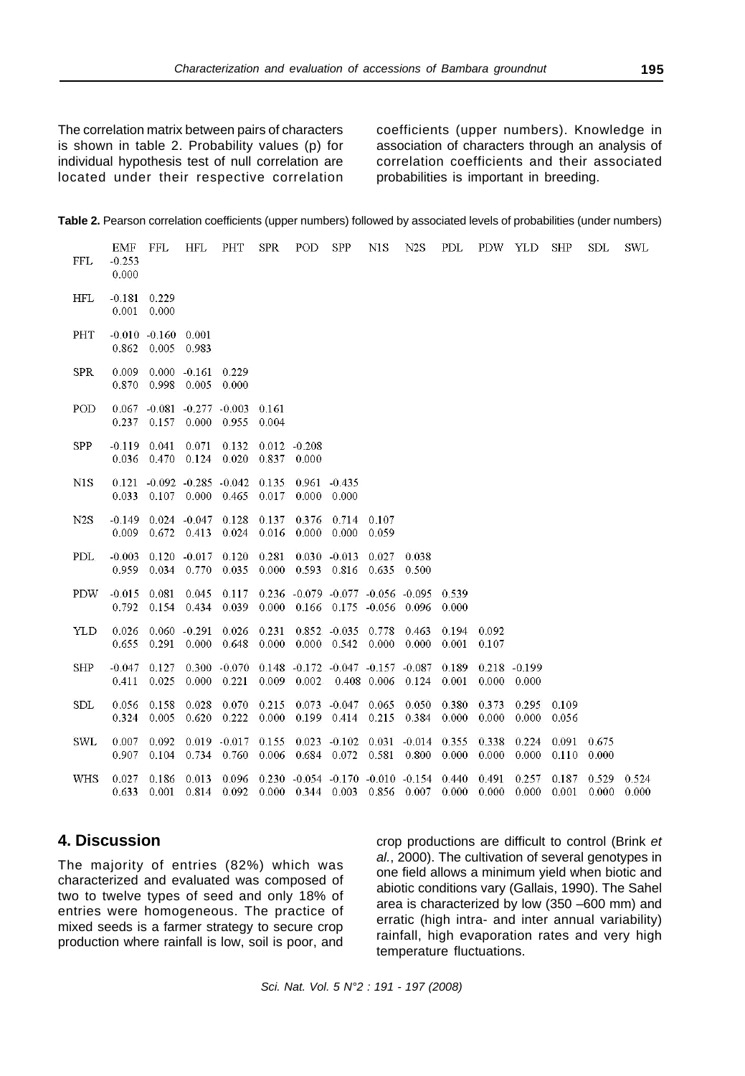The correlation matrix between pairs of characters is shown in table 2. Probability values (p) for individual hypothesis test of null correlation are located under their respective correlation coefficients (upper numbers). Knowledge in association of characters through an analysis of correlation coefficients and their associated probabilities is important in breeding.

| Table 2. Pearson correlation coefficients (upper numbers) followed by associated levels of probabilities (under numbers) |  |  |  |
|--------------------------------------------------------------------------------------------------------------------------|--|--|--|
|--------------------------------------------------------------------------------------------------------------------------|--|--|--|

| <b>FFL</b> | EMF<br>$-0.253$<br>0.000 | FFL                                      | <b>HFL</b>                     | PHT                                    | <b>SPR</b>     | POD                      | <b>SPP</b>                                                      | N1S            | N <sub>2</sub> S                                                                     | PDL            | PDW YLD        |                          | SHP            | SDL            | <b>SWL</b>     |
|------------|--------------------------|------------------------------------------|--------------------------------|----------------------------------------|----------------|--------------------------|-----------------------------------------------------------------|----------------|--------------------------------------------------------------------------------------|----------------|----------------|--------------------------|----------------|----------------|----------------|
| <b>HFL</b> | $-0.181$<br>0.001        | 0.229<br>0.000                           |                                |                                        |                |                          |                                                                 |                |                                                                                      |                |                |                          |                |                |                |
| PHT        | 0.862                    | $-0.010 - 0.160 0.001$<br>0.005          | 0.983                          |                                        |                |                          |                                                                 |                |                                                                                      |                |                |                          |                |                |                |
| <b>SPR</b> | 0.009<br>0.870           | 0.998                                    | $0.000 - 0.161$<br>0.005       | 0.229<br>0.000                         |                |                          |                                                                 |                |                                                                                      |                |                |                          |                |                |                |
| POD        | 0.237                    | $0.067 - 0.081 - 0.277 - 0.003$<br>0.157 |                                | $0.000 \quad 0.955$                    | 0.161<br>0.004 |                          |                                                                 |                |                                                                                      |                |                |                          |                |                |                |
| <b>SPP</b> | $-0.119$<br>0.036        | 0.041<br>0.470                           | 0.071<br>0.124                 | 0.132<br>0.020                         | 0.837          | $0.012 - 0.208$<br>0.000 |                                                                 |                |                                                                                      |                |                |                          |                |                |                |
| N1S        | 0.033                    |                                          | $0.107$ $0.000$ $0.465$        | $0.121 - 0.092 - 0.285 - 0.042$        | 0.135<br>0.017 |                          | $0.961 - 0.435$<br>$0.000 \quad 0.000$                          |                |                                                                                      |                |                |                          |                |                |                |
| N2S        | $-0.149$<br>0.009        | 0.672                                    | $0.024 - 0.047$<br>0.413       | 0.128<br>0.024                         | 0.137<br>0.016 | 0.376<br>0.000           | 0.714<br>0.000                                                  | 0.107<br>0.059 |                                                                                      |                |                |                          |                |                |                |
| <b>PDL</b> | $-0.003$<br>0.959        | 0.034                                    | $0.120 - 0.017 0.120$<br>0.770 | 0.035                                  | 0.281<br>0.000 |                          | $0.030 - 0.013$<br>0.593 0.816                                  | 0.027<br>0.635 | 0.038<br>0.500                                                                       |                |                |                          |                |                |                |
| <b>PDW</b> | $-0.015$<br>0.792        | 0.081<br>0.154                           | 0.045<br>0.434                 | 0.117<br>0.039                         | 0.000          |                          | $0.236 -0.079 -0.077 -0.056 -0.095$<br>$0.166$ $0.175$ $-0.056$ |                | 0.096                                                                                | 0.539<br>0.000 |                |                          |                |                |                |
| YLD        | 0.026<br>0.655           | 0.291                                    | $0.060 - 0.291$<br>0.000       | 0.026<br>0.648                         | 0.231<br>0.000 |                          | 0.852 -0.035 0.778<br>$0.000 \quad 0.542$                       | 0.000          | 0.463<br>0.000                                                                       | 0.194<br>0.001 | 0.092<br>0.107 |                          |                |                |                |
| <b>SHP</b> | $-0.047$<br>0.411        | 0.127<br>0.025                           |                                | $0.300 - 0.070$<br>$0.000 \quad 0.221$ |                | $0.009$ 0.002            | $0.148 - 0.172 - 0.047 - 0.157 - 0.087$                         | 0.408 0.006    | 0.124                                                                                | 0.189<br>0.001 | 0.000          | $0.218 - 0.199$<br>0.000 |                |                |                |
| <b>SDL</b> | 0.056<br>0.324           | 0.158<br>0.005                           | 0.028<br>0.620                 | 0.070<br>0.222                         | 0.215<br>0.000 |                          | $0.073 - 0.047 0.065$<br>0.199 0.414                            | 0.215          | 0.050<br>0.384                                                                       | 0.380<br>0.000 | 0.373<br>0.000 | 0.295<br>0.000           | 0.109<br>0.056 |                |                |
| <b>SWL</b> | 0.007<br>0.907           | 0.092<br>0.104                           | 0.734                          | $0.019 - 0.017$<br>0.760               | 0.155<br>0.006 |                          | $0.023 - 0.102 - 0.031$<br>0.684 0.072                          | 0.581          | $-0.014$<br>0.800                                                                    | 0.355<br>0.000 | 0.338<br>0.000 | 0.224<br>0.000           | 0.091<br>0.110 | 0.675<br>0.000 |                |
| <b>WHS</b> | 0.027<br>0.633           | 0.186<br>0.001                           | 0.013                          | 0.096<br>0.814 0.092                   |                |                          |                                                                 |                | $0.230 -0.054 -0.170 -0.010 -0.154 0.440$<br>$0.000$ $0.344$ $0.003$ $0.856$ $0.007$ | 0.000          | 0.491<br>0.000 | 0.257<br>0.000           | 0.187<br>0.001 | 0.529<br>0.000 | 0.524<br>0.000 |

### **4. Discussion**

The majority of entries (82%) which was characterized and evaluated was composed of two to twelve types of seed and only 18% of entries were homogeneous. The practice of mixed seeds is a farmer strategy to secure crop production where rainfall is low, soil is poor, and crop productions are difficult to control (Brink *et al.*, 2000). The cultivation of several genotypes in one field allows a minimum yield when biotic and abiotic conditions vary (Gallais, 1990). The Sahel area is characterized by low (350 –600 mm) and erratic (high intra- and inter annual variability) rainfall, high evaporation rates and very high temperature fluctuations.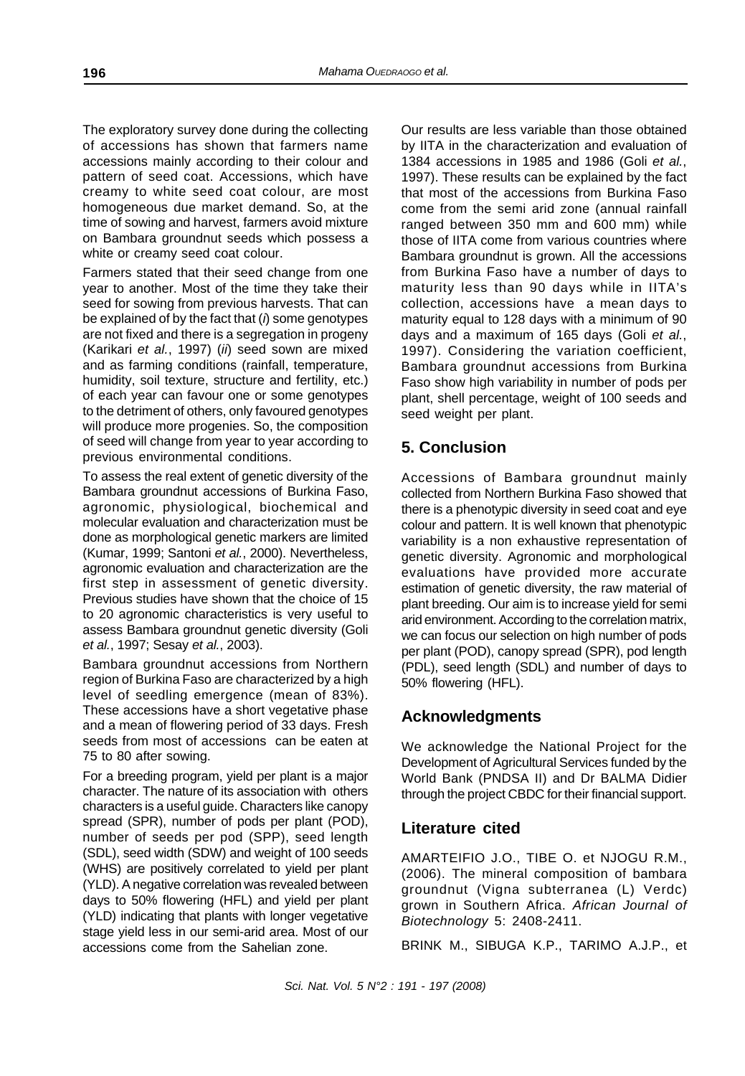The exploratory survey done during the collecting of accessions has shown that farmers name accessions mainly according to their colour and pattern of seed coat. Accessions, which have creamy to white seed coat colour, are most homogeneous due market demand. So, at the time of sowing and harvest, farmers avoid mixture on Bambara groundnut seeds which possess a white or creamy seed coat colour.

Farmers stated that their seed change from one year to another. Most of the time they take their seed for sowing from previous harvests. That can be explained of by the fact that (*i*) some genotypes are not fixed and there is a segregation in progeny (Karikari *et al.*, 1997) (*ii*) seed sown are mixed and as farming conditions (rainfall, temperature, humidity, soil texture, structure and fertility, etc.) of each year can favour one or some genotypes to the detriment of others, only favoured genotypes will produce more progenies. So, the composition of seed will change from year to year according to previous environmental conditions.

To assess the real extent of genetic diversity of the Bambara groundnut accessions of Burkina Faso, agronomic, physiological, biochemical and molecular evaluation and characterization must be done as morphological genetic markers are limited (Kumar, 1999; Santoni *et al.*, 2000). Nevertheless, agronomic evaluation and characterization are the first step in assessment of genetic diversity. Previous studies have shown that the choice of 15 to 20 agronomic characteristics is very useful to assess Bambara groundnut genetic diversity (Goli *et al.*, 1997; Sesay *et al.*, 2003).

Bambara groundnut accessions from Northern region of Burkina Faso are characterized by a high level of seedling emergence (mean of 83%). These accessions have a short vegetative phase and a mean of flowering period of 33 days. Fresh seeds from most of accessions can be eaten at 75 to 80 after sowing.

For a breeding program, yield per plant is a major character. The nature of its association with others characters is a useful guide. Characters like canopy spread (SPR), number of pods per plant (POD), number of seeds per pod (SPP), seed length (SDL), seed width (SDW) and weight of 100 seeds (WHS) are positively correlated to yield per plant (YLD). A negative correlation was revealed between days to 50% flowering (HFL) and yield per plant (YLD) indicating that plants with longer vegetative stage yield less in our semi-arid area. Most of our accessions come from the Sahelian zone.

Our results are less variable than those obtained by IITA in the characterization and evaluation of 1384 accessions in 1985 and 1986 (Goli *et al.*, 1997). These results can be explained by the fact that most of the accessions from Burkina Faso come from the semi arid zone (annual rainfall ranged between 350 mm and 600 mm) while those of IITA come from various countries where Bambara groundnut is grown. All the accessions from Burkina Faso have a number of days to maturity less than 90 days while in IITA's collection, accessions have a mean days to maturity equal to 128 days with a minimum of 90 days and a maximum of 165 days (Goli *et al.*, 1997). Considering the variation coefficient, Bambara groundnut accessions from Burkina Faso show high variability in number of pods per plant, shell percentage, weight of 100 seeds and seed weight per plant.

# **5. Conclusion**

Accessions of Bambara groundnut mainly collected from Northern Burkina Faso showed that there is a phenotypic diversity in seed coat and eye colour and pattern. It is well known that phenotypic variability is a non exhaustive representation of genetic diversity. Agronomic and morphological evaluations have provided more accurate estimation of genetic diversity, the raw material of plant breeding. Our aim is to increase yield for semi arid environment. According to the correlation matrix, we can focus our selection on high number of pods per plant (POD), canopy spread (SPR), pod length (PDL), seed length (SDL) and number of days to 50% flowering (HFL).

# **Acknowledgments**

We acknowledge the National Project for the Development of Agricultural Services funded by the World Bank (PNDSA II) and Dr BALMA Didier through the project CBDC for their financial support.

## **Literature cited**

AMARTEIFIO J.O., TIBE O. et NJOGU R.M., (2006). The mineral composition of bambara groundnut (Vigna subterranea (L) Verdc) grown in Southern Africa. *African Journal of Biotechnology* 5: 2408-2411.

BRINK M., SIBUGA K.P., TARIMO A.J.P., et